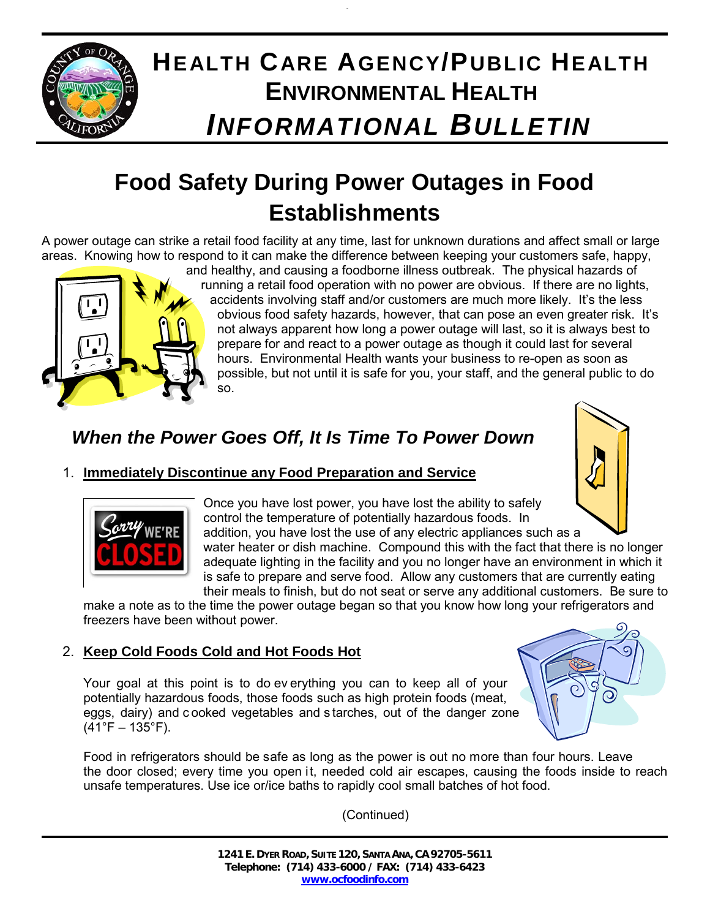

# **HEALTH CARE AGENCY/PUBLIC HEALTH ENVIRONMENTAL HEALTH** *INFORMATIONAL BULLETIN*

## **Food Safety During Power Outages in Food Establishments**

A power outage can strike a retail food facility at any time, last for unknown durations and affect small or large areas. Knowing how to respond to it can make the difference between keeping your customers safe, happy,



and healthy, and causing a foodborne illness outbreak. The physical hazards of running a retail food operation with no power are obvious. If there are no lights, accidents involving staff and/or customers are much more likely. It's the less obvious food safety hazards, however, that can pose an even greater risk. It's not always apparent how long a power outage will last, so it is always best to prepare for and react to a power outage as though it could last for several hours. Environmental Health wants your business to re-open as soon as possible, but not until it is safe for you, your staff, and the general public to do so.

## *When the Power Goes Off, It Is Time To Power Down*

### 1. **Immediately Discontinue any Food Preparation and Service**



Once you have lost power, you have lost the ability to safely control the temperature of potentially hazardous foods. In addition, you have lost the use of any electric appliances such as a

water heater or dish machine. Compound this with the fact that there is no longer adequate lighting in the facility and you no longer have an environment in which it is safe to prepare and serve food. Allow any customers that are currently eating their meals to finish, but do not seat or serve any additional customers. Be sure to

make a note as to the time the power outage began so that you know how long your refrigerators and freezers have been without power.

### 2. **Keep Cold Foods Cold and Hot Foods Hot**

Your goal at this point is to do ev erything you can to keep all of your potentially hazardous foods, those foods such as high protein foods (meat, eggs, dairy) and c ooked vegetables and s tarches, out of the danger zone  $(41^{\circ}F - 135^{\circ}F)$ .

Food in refrigerators should be safe as long as the power is out no more than four hours. Leave the door closed; every time you open it, needed cold air escapes, causing the foods inside to reach unsafe temperatures. Use ice or/ice baths to rapidly cool small batches of hot food.

(Continued)